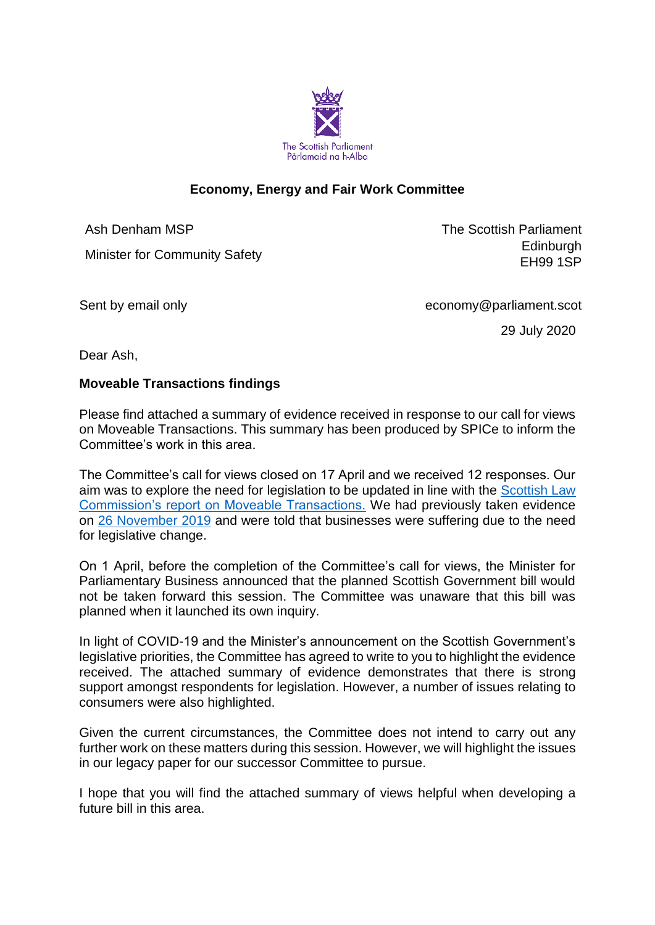

# **Economy, Energy and Fair Work Committee**

Ash Denham MSP

Minister for Community Safety

The Scottish Parliament **Edinburgh** EH99 1SP

Sent by email only example and the economy@parliament.scot

29 July 2020

Dear Ash,

#### **Moveable Transactions findings**

Please find attached a summary of evidence received in response to our call for views on Moveable Transactions. This summary has been produced by SPICe to inform the Committee's work in this area.

The Committee's call for views closed on 17 April and we received 12 responses. Our aim was to explore the need for legislation to be updated in line with the [Scottish Law](https://www.scotlawcom.gov.uk/files/1715/1361/1309/Report_on_Moveable_Transactions_-_Volume_1_Report_249.pdf)  [Commission's report on Moveable Transactions.](https://www.scotlawcom.gov.uk/files/1715/1361/1309/Report_on_Moveable_Transactions_-_Volume_1_Report_249.pdf) We had previously taken evidence on [26 November 2019](http://www.parliament.scot/parliamentarybusiness/report.aspx?r=12401) and were told that businesses were suffering due to the need for legislative change.

On 1 April, before the completion of the Committee's call for views, the Minister for Parliamentary Business announced that the planned Scottish Government bill would not be taken forward this session. The Committee was unaware that this bill was planned when it launched its own inquiry.

In light of COVID-19 and the Minister's announcement on the Scottish Government's legislative priorities, the Committee has agreed to write to you to highlight the evidence received. The attached summary of evidence demonstrates that there is strong support amongst respondents for legislation. However, a number of issues relating to consumers were also highlighted.

Given the current circumstances, the Committee does not intend to carry out any further work on these matters during this session. However, we will highlight the issues in our legacy paper for our successor Committee to pursue.

I hope that you will find the attached summary of views helpful when developing a future bill in this area.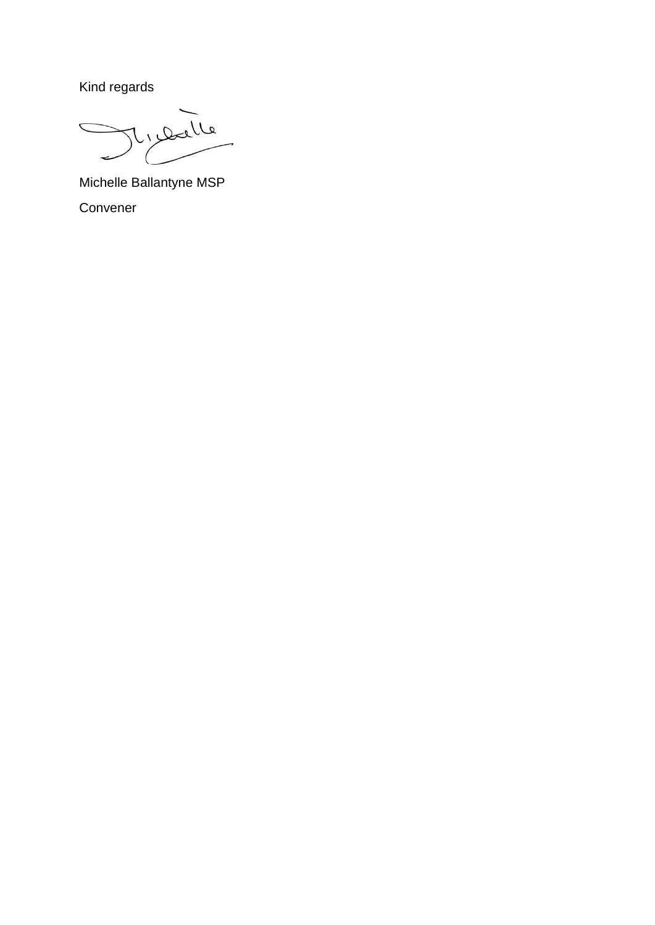Kind regards

رره  $Q_{1}$ 

Michelle Ballantyne MSP Convener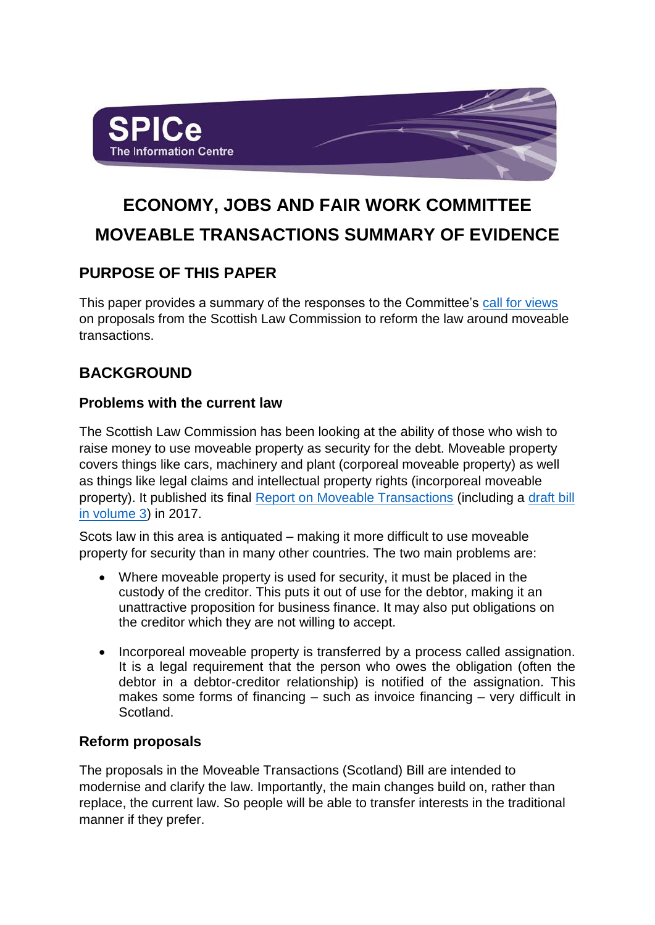

# **ECONOMY, JOBS AND FAIR WORK COMMITTEE MOVEABLE TRANSACTIONS SUMMARY OF EVIDENCE**

# **PURPOSE OF THIS PAPER**

This paper provides a summary of the responses to the Committee's [call for views](https://www.parliament.scot/parliamentarybusiness/CurrentCommittees/114493.aspx) on proposals from the Scottish Law Commission to reform the law around moveable transactions.

# **BACKGROUND**

# **Problems with the current law**

The Scottish Law Commission has been looking at the ability of those who wish to raise money to use moveable property as security for the debt. Moveable property covers things like cars, machinery and plant (corporeal moveable property) as well as things like legal claims and intellectual property rights (incorporeal moveable property). It published its final [Report on Moveable Transactions](https://www.scotlawcom.gov.uk/files/1715/1361/1309/Report_on_Moveable_Transactions_-_Volume_1_Report_249.pdf) (including a [draft bill](https://www.scotlawcom.gov.uk/files/4415/1361/1403/Report_on_Moveable_Transactions_-_Volume_3_Report_249.pdf)  [in volume 3\)](https://www.scotlawcom.gov.uk/files/4415/1361/1403/Report_on_Moveable_Transactions_-_Volume_3_Report_249.pdf) in 2017.

Scots law in this area is antiquated – making it more difficult to use moveable property for security than in many other countries. The two main problems are:

- Where moveable property is used for security, it must be placed in the custody of the creditor. This puts it out of use for the debtor, making it an unattractive proposition for business finance. It may also put obligations on the creditor which they are not willing to accept.
- Incorporeal moveable property is transferred by a process called assignation. It is a legal requirement that the person who owes the obligation (often the debtor in a debtor-creditor relationship) is notified of the assignation. This makes some forms of financing – such as invoice financing – very difficult in Scotland.

# **Reform proposals**

The proposals in the Moveable Transactions (Scotland) Bill are intended to modernise and clarify the law. Importantly, the main changes build on, rather than replace, the current law. So people will be able to transfer interests in the traditional manner if they prefer.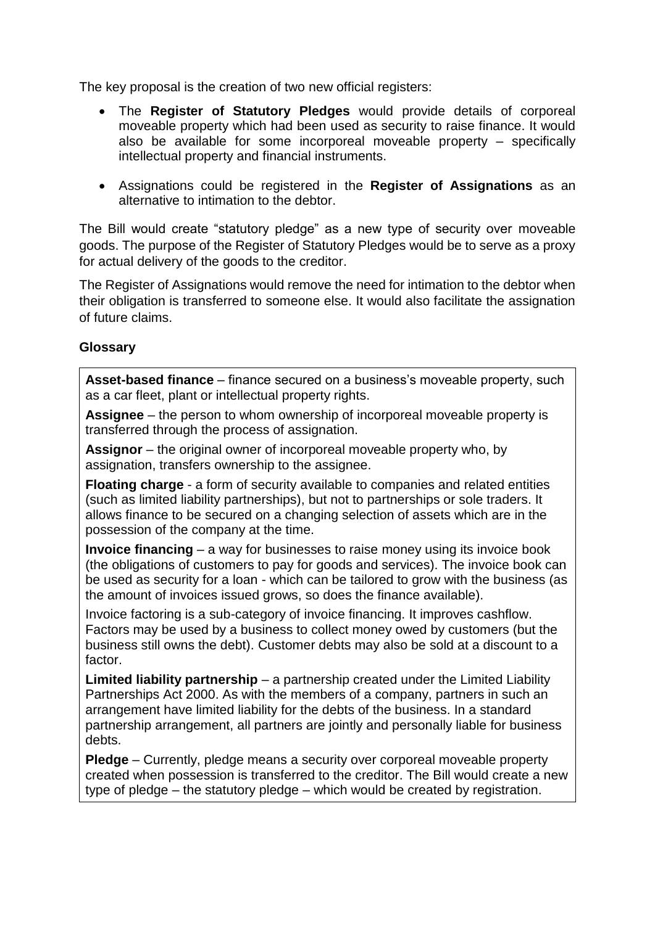The key proposal is the creation of two new official registers:

- The **Register of Statutory Pledges** would provide details of corporeal moveable property which had been used as security to raise finance. It would also be available for some incorporeal moveable property – specifically intellectual property and financial instruments.
- Assignations could be registered in the **Register of Assignations** as an alternative to intimation to the debtor.

The Bill would create "statutory pledge" as a new type of security over moveable goods. The purpose of the Register of Statutory Pledges would be to serve as a proxy for actual delivery of the goods to the creditor.

The Register of Assignations would remove the need for intimation to the debtor when their obligation is transferred to someone else. It would also facilitate the assignation of future claims.

# **Glossary**

**Asset-based finance** – finance secured on a business's moveable property, such as a car fleet, plant or intellectual property rights.

**Assignee** – the person to whom ownership of incorporeal moveable property is transferred through the process of assignation.

**Assignor** – the original owner of incorporeal moveable property who, by assignation, transfers ownership to the assignee.

**Floating charge** - a form of security available to companies and related entities (such as limited liability partnerships), but not to partnerships or sole traders. It allows finance to be secured on a changing selection of assets which are in the possession of the company at the time.

**Invoice financing** – a way for businesses to raise money using its invoice book (the obligations of customers to pay for goods and services). The invoice book can be used as security for a loan - which can be tailored to grow with the business (as the amount of invoices issued grows, so does the finance available).

Invoice factoring is a sub-category of invoice financing. It improves cashflow. Factors may be used by a business to collect money owed by customers (but the business still owns the debt). Customer debts may also be sold at a discount to a factor.

**Limited liability partnership** – a partnership created under the Limited Liability Partnerships Act 2000. As with the members of a company, partners in such an arrangement have limited liability for the debts of the business. In a standard partnership arrangement, all partners are jointly and personally liable for business debts.

**Pledge** – Currently, pledge means a security over corporeal moveable property created when possession is transferred to the creditor. The Bill would create a new type of pledge – the statutory pledge – which would be created by registration.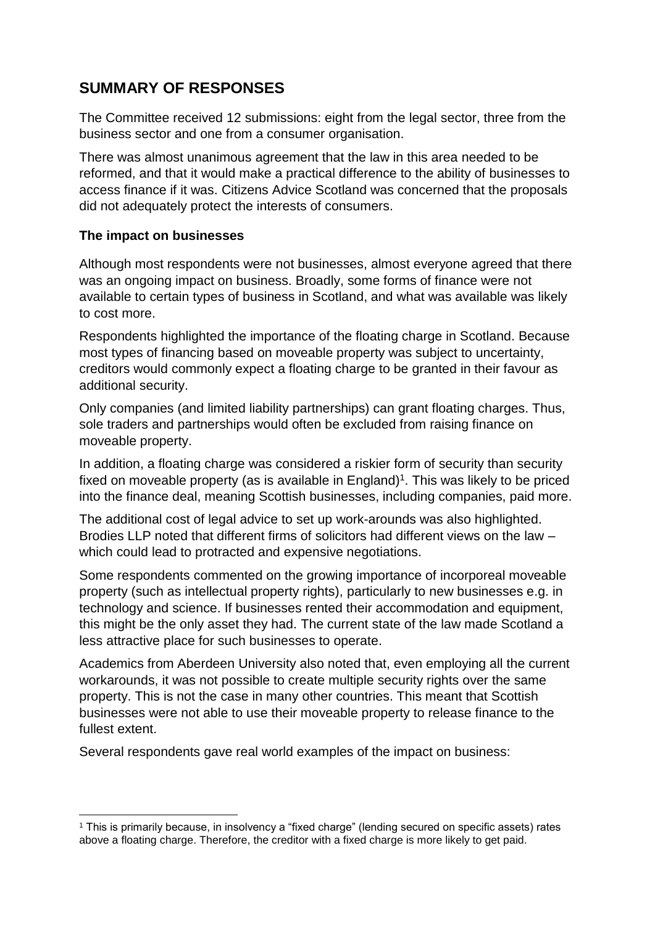# **SUMMARY OF RESPONSES**

The Committee received 12 submissions: eight from the legal sector, three from the business sector and one from a consumer organisation.

There was almost unanimous agreement that the law in this area needed to be reformed, and that it would make a practical difference to the ability of businesses to access finance if it was. Citizens Advice Scotland was concerned that the proposals did not adequately protect the interests of consumers.

# **The impact on businesses**

1

Although most respondents were not businesses, almost everyone agreed that there was an ongoing impact on business. Broadly, some forms of finance were not available to certain types of business in Scotland, and what was available was likely to cost more.

Respondents highlighted the importance of the floating charge in Scotland. Because most types of financing based on moveable property was subject to uncertainty, creditors would commonly expect a floating charge to be granted in their favour as additional security.

Only companies (and limited liability partnerships) can grant floating charges. Thus, sole traders and partnerships would often be excluded from raising finance on moveable property.

In addition, a floating charge was considered a riskier form of security than security fixed on moveable property (as is available in England)<sup>1</sup>. This was likely to be priced into the finance deal, meaning Scottish businesses, including companies, paid more.

The additional cost of legal advice to set up work-arounds was also highlighted. Brodies LLP noted that different firms of solicitors had different views on the law – which could lead to protracted and expensive negotiations.

Some respondents commented on the growing importance of incorporeal moveable property (such as intellectual property rights), particularly to new businesses e.g. in technology and science. If businesses rented their accommodation and equipment, this might be the only asset they had. The current state of the law made Scotland a less attractive place for such businesses to operate.

Academics from Aberdeen University also noted that, even employing all the current workarounds, it was not possible to create multiple security rights over the same property. This is not the case in many other countries. This meant that Scottish businesses were not able to use their moveable property to release finance to the fullest extent.

Several respondents gave real world examples of the impact on business:

<sup>1</sup> This is primarily because, in insolvency a "fixed charge" (lending secured on specific assets) rates above a floating charge. Therefore, the creditor with a fixed charge is more likely to get paid.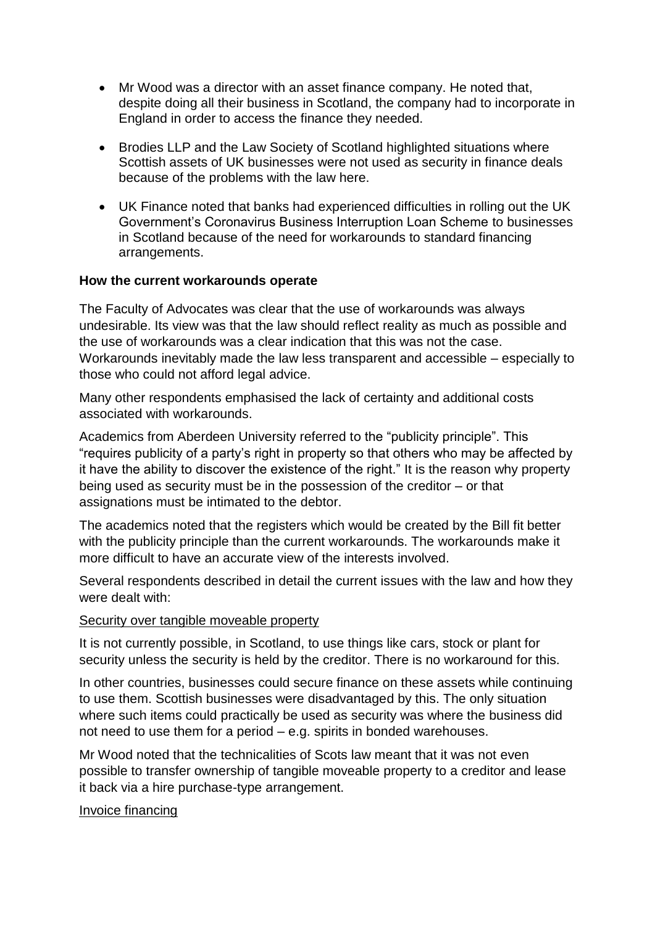- Mr Wood was a director with an asset finance company. He noted that, despite doing all their business in Scotland, the company had to incorporate in England in order to access the finance they needed.
- Brodies LLP and the Law Society of Scotland highlighted situations where Scottish assets of UK businesses were not used as security in finance deals because of the problems with the law here.
- UK Finance noted that banks had experienced difficulties in rolling out the UK Government's Coronavirus Business Interruption Loan Scheme to businesses in Scotland because of the need for workarounds to standard financing arrangements.

#### **How the current workarounds operate**

The Faculty of Advocates was clear that the use of workarounds was always undesirable. Its view was that the law should reflect reality as much as possible and the use of workarounds was a clear indication that this was not the case. Workarounds inevitably made the law less transparent and accessible – especially to those who could not afford legal advice.

Many other respondents emphasised the lack of certainty and additional costs associated with workarounds.

Academics from Aberdeen University referred to the "publicity principle". This "requires publicity of a party's right in property so that others who may be affected by it have the ability to discover the existence of the right." It is the reason why property being used as security must be in the possession of the creditor – or that assignations must be intimated to the debtor.

The academics noted that the registers which would be created by the Bill fit better with the publicity principle than the current workarounds. The workarounds make it more difficult to have an accurate view of the interests involved.

Several respondents described in detail the current issues with the law and how they were dealt with:

#### Security over tangible moveable property

It is not currently possible, in Scotland, to use things like cars, stock or plant for security unless the security is held by the creditor. There is no workaround for this.

In other countries, businesses could secure finance on these assets while continuing to use them. Scottish businesses were disadvantaged by this. The only situation where such items could practically be used as security was where the business did not need to use them for a period – e.g. spirits in bonded warehouses.

Mr Wood noted that the technicalities of Scots law meant that it was not even possible to transfer ownership of tangible moveable property to a creditor and lease it back via a hire purchase-type arrangement.

#### Invoice financing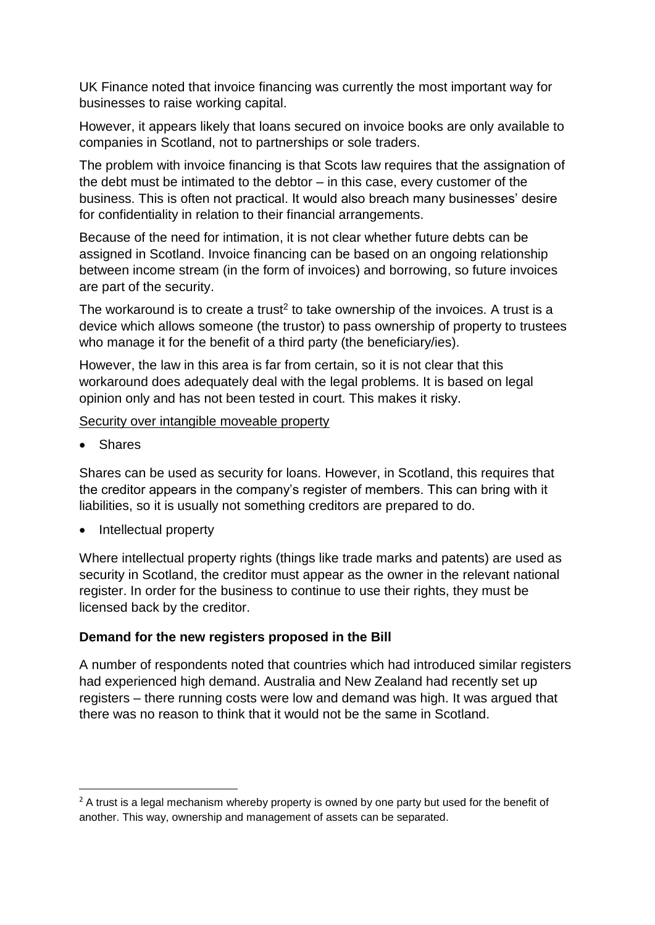UK Finance noted that invoice financing was currently the most important way for businesses to raise working capital.

However, it appears likely that loans secured on invoice books are only available to companies in Scotland, not to partnerships or sole traders.

The problem with invoice financing is that Scots law requires that the assignation of the debt must be intimated to the debtor – in this case, every customer of the business. This is often not practical. It would also breach many businesses' desire for confidentiality in relation to their financial arrangements.

Because of the need for intimation, it is not clear whether future debts can be assigned in Scotland. Invoice financing can be based on an ongoing relationship between income stream (in the form of invoices) and borrowing, so future invoices are part of the security.

The workaround is to create a trust<sup>2</sup> to take ownership of the invoices. A trust is a device which allows someone (the trustor) to pass ownership of property to trustees who manage it for the benefit of a third party (the beneficiary/ies).

However, the law in this area is far from certain, so it is not clear that this workaround does adequately deal with the legal problems. It is based on legal opinion only and has not been tested in court. This makes it risky.

Security over intangible moveable property

**Shares** 

**.** 

Shares can be used as security for loans. However, in Scotland, this requires that the creditor appears in the company's register of members. This can bring with it liabilities, so it is usually not something creditors are prepared to do.

• Intellectual property

Where intellectual property rights (things like trade marks and patents) are used as security in Scotland, the creditor must appear as the owner in the relevant national register. In order for the business to continue to use their rights, they must be licensed back by the creditor.

#### **Demand for the new registers proposed in the Bill**

A number of respondents noted that countries which had introduced similar registers had experienced high demand. Australia and New Zealand had recently set up registers – there running costs were low and demand was high. It was argued that there was no reason to think that it would not be the same in Scotland.

 $2A$  trust is a legal mechanism whereby property is owned by one party but used for the benefit of another. This way, ownership and management of assets can be separated.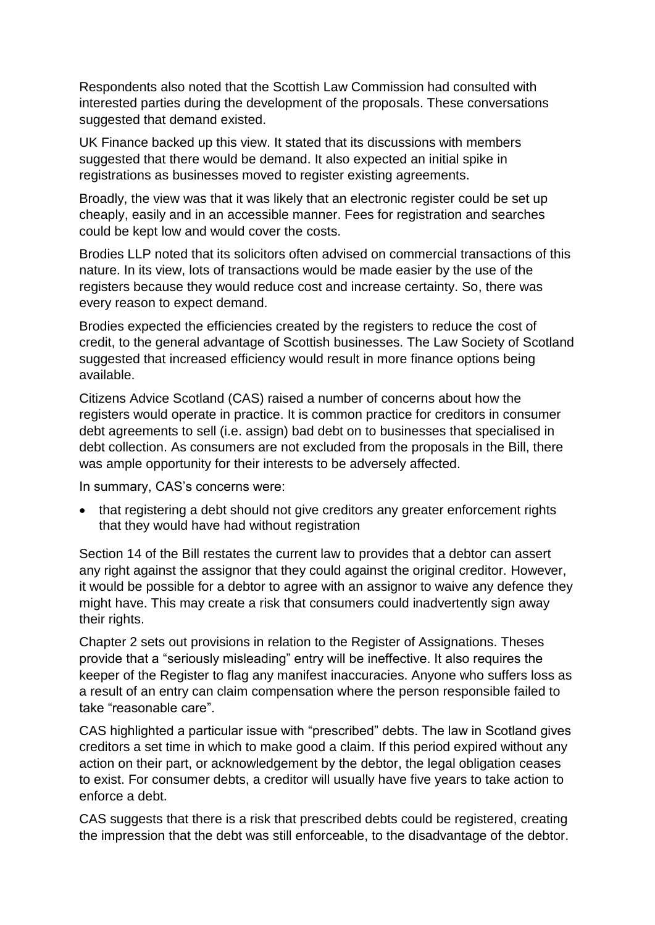Respondents also noted that the Scottish Law Commission had consulted with interested parties during the development of the proposals. These conversations suggested that demand existed.

UK Finance backed up this view. It stated that its discussions with members suggested that there would be demand. It also expected an initial spike in registrations as businesses moved to register existing agreements.

Broadly, the view was that it was likely that an electronic register could be set up cheaply, easily and in an accessible manner. Fees for registration and searches could be kept low and would cover the costs.

Brodies LLP noted that its solicitors often advised on commercial transactions of this nature. In its view, lots of transactions would be made easier by the use of the registers because they would reduce cost and increase certainty. So, there was every reason to expect demand.

Brodies expected the efficiencies created by the registers to reduce the cost of credit, to the general advantage of Scottish businesses. The Law Society of Scotland suggested that increased efficiency would result in more finance options being available.

Citizens Advice Scotland (CAS) raised a number of concerns about how the registers would operate in practice. It is common practice for creditors in consumer debt agreements to sell (i.e. assign) bad debt on to businesses that specialised in debt collection. As consumers are not excluded from the proposals in the Bill, there was ample opportunity for their interests to be adversely affected.

In summary, CAS's concerns were:

• that registering a debt should not give creditors any greater enforcement rights that they would have had without registration

Section 14 of the Bill restates the current law to provides that a debtor can assert any right against the assignor that they could against the original creditor. However, it would be possible for a debtor to agree with an assignor to waive any defence they might have. This may create a risk that consumers could inadvertently sign away their rights.

Chapter 2 sets out provisions in relation to the Register of Assignations. Theses provide that a "seriously misleading" entry will be ineffective. It also requires the keeper of the Register to flag any manifest inaccuracies. Anyone who suffers loss as a result of an entry can claim compensation where the person responsible failed to take "reasonable care".

CAS highlighted a particular issue with "prescribed" debts. The law in Scotland gives creditors a set time in which to make good a claim. If this period expired without any action on their part, or acknowledgement by the debtor, the legal obligation ceases to exist. For consumer debts, a creditor will usually have five years to take action to enforce a debt.

CAS suggests that there is a risk that prescribed debts could be registered, creating the impression that the debt was still enforceable, to the disadvantage of the debtor.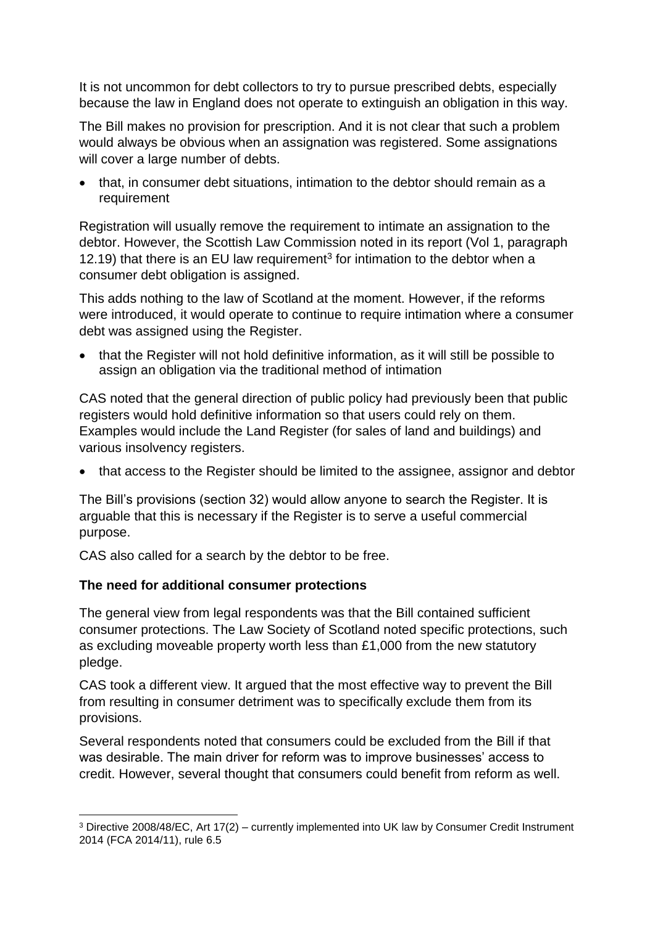It is not uncommon for debt collectors to try to pursue prescribed debts, especially because the law in England does not operate to extinguish an obligation in this way.

The Bill makes no provision for prescription. And it is not clear that such a problem would always be obvious when an assignation was registered. Some assignations will cover a large number of debts.

• that, in consumer debt situations, intimation to the debtor should remain as a requirement

Registration will usually remove the requirement to intimate an assignation to the debtor. However, the Scottish Law Commission noted in its report (Vol 1, paragraph 12.19) that there is an EU law requirement<sup>3</sup> for intimation to the debtor when a consumer debt obligation is assigned.

This adds nothing to the law of Scotland at the moment. However, if the reforms were introduced, it would operate to continue to require intimation where a consumer debt was assigned using the Register.

• that the Register will not hold definitive information, as it will still be possible to assign an obligation via the traditional method of intimation

CAS noted that the general direction of public policy had previously been that public registers would hold definitive information so that users could rely on them. Examples would include the Land Register (for sales of land and buildings) and various insolvency registers.

• that access to the Register should be limited to the assignee, assignor and debtor

The Bill's provisions (section 32) would allow anyone to search the Register. It is arguable that this is necessary if the Register is to serve a useful commercial purpose.

CAS also called for a search by the debtor to be free.

# **The need for additional consumer protections**

The general view from legal respondents was that the Bill contained sufficient consumer protections. The Law Society of Scotland noted specific protections, such as excluding moveable property worth less than £1,000 from the new statutory pledge.

CAS took a different view. It argued that the most effective way to prevent the Bill from resulting in consumer detriment was to specifically exclude them from its provisions.

Several respondents noted that consumers could be excluded from the Bill if that was desirable. The main driver for reform was to improve businesses' access to credit. However, several thought that consumers could benefit from reform as well.

<sup>1</sup> <sup>3</sup> Directive 2008/48/EC, Art 17(2) – currently implemented into UK law by Consumer Credit Instrument 2014 (FCA 2014/11), rule 6.5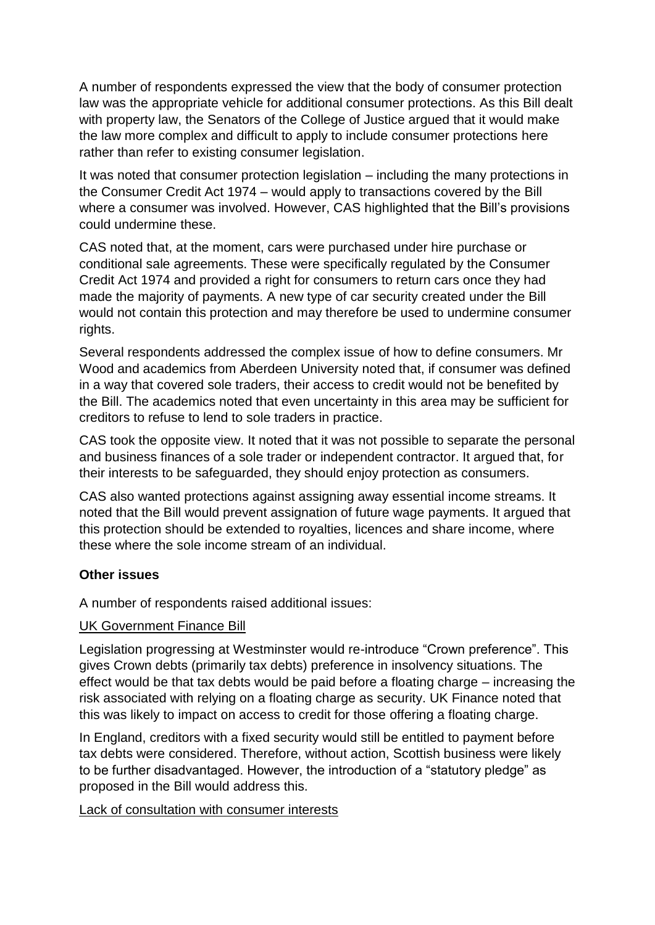A number of respondents expressed the view that the body of consumer protection law was the appropriate vehicle for additional consumer protections. As this Bill dealt with property law, the Senators of the College of Justice argued that it would make the law more complex and difficult to apply to include consumer protections here rather than refer to existing consumer legislation.

It was noted that consumer protection legislation – including the many protections in the Consumer Credit Act 1974 – would apply to transactions covered by the Bill where a consumer was involved. However, CAS highlighted that the Bill's provisions could undermine these.

CAS noted that, at the moment, cars were purchased under hire purchase or conditional sale agreements. These were specifically regulated by the Consumer Credit Act 1974 and provided a right for consumers to return cars once they had made the majority of payments. A new type of car security created under the Bill would not contain this protection and may therefore be used to undermine consumer rights.

Several respondents addressed the complex issue of how to define consumers. Mr Wood and academics from Aberdeen University noted that, if consumer was defined in a way that covered sole traders, their access to credit would not be benefited by the Bill. The academics noted that even uncertainty in this area may be sufficient for creditors to refuse to lend to sole traders in practice.

CAS took the opposite view. It noted that it was not possible to separate the personal and business finances of a sole trader or independent contractor. It argued that, for their interests to be safeguarded, they should enjoy protection as consumers.

CAS also wanted protections against assigning away essential income streams. It noted that the Bill would prevent assignation of future wage payments. It argued that this protection should be extended to royalties, licences and share income, where these where the sole income stream of an individual.

# **Other issues**

A number of respondents raised additional issues:

#### UK Government Finance Bill

Legislation progressing at Westminster would re-introduce "Crown preference". This gives Crown debts (primarily tax debts) preference in insolvency situations. The effect would be that tax debts would be paid before a floating charge – increasing the risk associated with relying on a floating charge as security. UK Finance noted that this was likely to impact on access to credit for those offering a floating charge.

In England, creditors with a fixed security would still be entitled to payment before tax debts were considered. Therefore, without action, Scottish business were likely to be further disadvantaged. However, the introduction of a "statutory pledge" as proposed in the Bill would address this.

#### Lack of consultation with consumer interests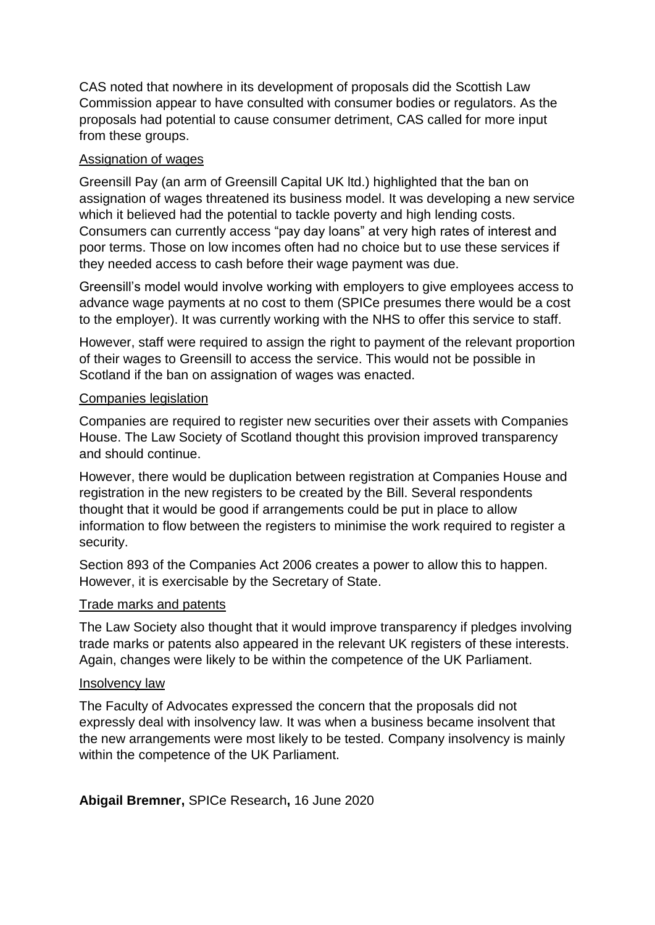CAS noted that nowhere in its development of proposals did the Scottish Law Commission appear to have consulted with consumer bodies or regulators. As the proposals had potential to cause consumer detriment, CAS called for more input from these groups.

#### Assignation of wages

Greensill Pay (an arm of Greensill Capital UK ltd.) highlighted that the ban on assignation of wages threatened its business model. It was developing a new service which it believed had the potential to tackle poverty and high lending costs. Consumers can currently access "pay day loans" at very high rates of interest and poor terms. Those on low incomes often had no choice but to use these services if they needed access to cash before their wage payment was due.

Greensill's model would involve working with employers to give employees access to advance wage payments at no cost to them (SPICe presumes there would be a cost to the employer). It was currently working with the NHS to offer this service to staff.

However, staff were required to assign the right to payment of the relevant proportion of their wages to Greensill to access the service. This would not be possible in Scotland if the ban on assignation of wages was enacted.

#### Companies legislation

Companies are required to register new securities over their assets with Companies House. The Law Society of Scotland thought this provision improved transparency and should continue.

However, there would be duplication between registration at Companies House and registration in the new registers to be created by the Bill. Several respondents thought that it would be good if arrangements could be put in place to allow information to flow between the registers to minimise the work required to register a security.

Section 893 of the Companies Act 2006 creates a power to allow this to happen. However, it is exercisable by the Secretary of State.

#### Trade marks and patents

The Law Society also thought that it would improve transparency if pledges involving trade marks or patents also appeared in the relevant UK registers of these interests. Again, changes were likely to be within the competence of the UK Parliament.

#### Insolvency law

The Faculty of Advocates expressed the concern that the proposals did not expressly deal with insolvency law. It was when a business became insolvent that the new arrangements were most likely to be tested. Company insolvency is mainly within the competence of the UK Parliament.

**Abigail Bremner,** SPICe Research**,** 16 June 2020